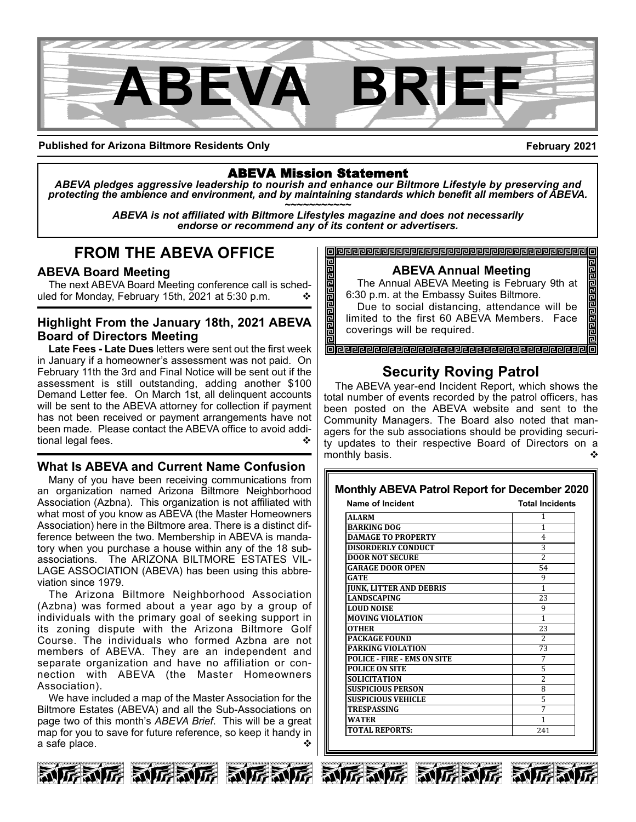

**Published for Arizona Biltmore Residents Only**

**February 2021**

ABEVA Mission Statement *ABEVA pledges aggressive leadership to nourish and enhance our Biltmore Lifestyle by preserving and* protecting the ambience and environment, and by maintaining standards which benefit all members of ABEVA.<br>ABEVA is not affiliated with Biltmore Lifestyles magazine and does not necessarily

*endorse or recommend any of its content or advertisers.*

# **FROM THE ABEVA OFFICE**

# **ABEVA Board Meeting**

The next ABEVA Board Meeting conference call is scheduled for Monday, February 15th, 2021 at 5:30 p.m.

## **Highlight From the January 18th, 2021 ABEVA Board of Directors Meeting**

**Late Fees - Late Dues** letters were sent out the first week in January if a homeowner's assessment was not paid. On February 11th the 3rd and Final Notice will be sent out if the assessment is still outstanding, adding another \$100 Demand Letter fee. On March 1st, all delinquent accounts will be sent to the ABEVA attorney for collection if payment has not been received or payment arrangements have not been made. Please contact the ABEVA office to avoid additional legal fees.

## **What Is ABEVA and Current Name Confusion**

Many of you have been receiving communications from an organization named Arizona Biltmore Neighborhood Association (Azbna). This organization is not affiliated with what most of you know as ABEVA (the Master Homeowners Association) here in the Biltmore area. There is a distinct difference between the two. Membership in ABEVA is mandatory when you purchase a house within any of the 18 subassociations. The ARIZONA BILTMORE ESTATES VIL-LAGE ASSOCIATION (ABEVA) has been using this abbreviation since 1979.

The Arizona Biltmore Neighborhood Association (Azbna) was formed about a year ago by a group of individuals with the primary goal of seeking support in its zoning dispute with the Arizona Biltmore Golf Course. The individuals who formed Azbna are not members of ABEVA. They are an independent and separate organization and have no affiliation or connection with ABEVA (the Master Homeowners Association).

We have included a map of the Master Association for the Biltmore Estates (ABEVA) and all the Sub-Associations on page two of this month's *ABEVA Brief*. This will be a great map for you to save for future reference, so keep it handy in a safe place.

#### 

#### **ABEVA Annual Meeting**

The Annual ABEVA Meeting is February 9th at 6:30 p.m. at the Embassy Suites Biltmore.

Due to social distancing, attendance will be limited to the first 60 ABEVA Members. Face coverings will be required.

<u>, popodobodo do propodobodo do popodobo</u>

# **Security Roving Patrol**

The ABEVA year-end Incident Report, which shows the total number of events recorded by the patrol officers, has been posted on the ABEVA website and sent to the Community Managers. The Board also noted that managers for the sub associations should be providing security updates to their respective Board of Directors on a monthly basis.

## **Monthly ABEVA Patrol Report for December 2020**

| Name of Incident                   | <b>Total Incidents</b>   |
|------------------------------------|--------------------------|
| <b>ALARM</b>                       | 1                        |
| <b>BARKING DOG</b>                 | 1                        |
| <b>DAMAGE TO PROPERTY</b>          | 4                        |
| <b>DISORDERLY CONDUCT</b>          | 3                        |
| <b>DOOR NOT SECURE</b>             | $\overline{2}$           |
| <b>GARAGE DOOR OPEN</b>            | 54                       |
| <b>GATE</b>                        | 9                        |
| <b>JUNK, LITTER AND DEBRIS</b>     | 1                        |
| <b>LANDSCAPING</b>                 | 23                       |
| <b>LOUD NOISE</b>                  | 9                        |
| <b>MOVING VIOLATION</b>            | $\mathbf{1}$             |
| <b>OTHER</b>                       | 23                       |
| <b>PACKAGE FOUND</b>               | 2                        |
| <b>PARKING VIOLATION</b>           | 73                       |
| <b>POLICE - FIRE - EMS ON SITE</b> | 7                        |
| <b>POLICE ON SITE</b>              | 5                        |
| <b>SOLICITATION</b>                | $\overline{\mathcal{L}}$ |
| <b>SUSPICIOUS PERSON</b>           | 8                        |
| <b>SUSPICIOUS VEHICLE</b>          | 5                        |
| <b>TRESPASSING</b>                 | 7                        |
| <b>WATER</b>                       | 1                        |
| <b>TOTAL REPORTS:</b>              | 241                      |





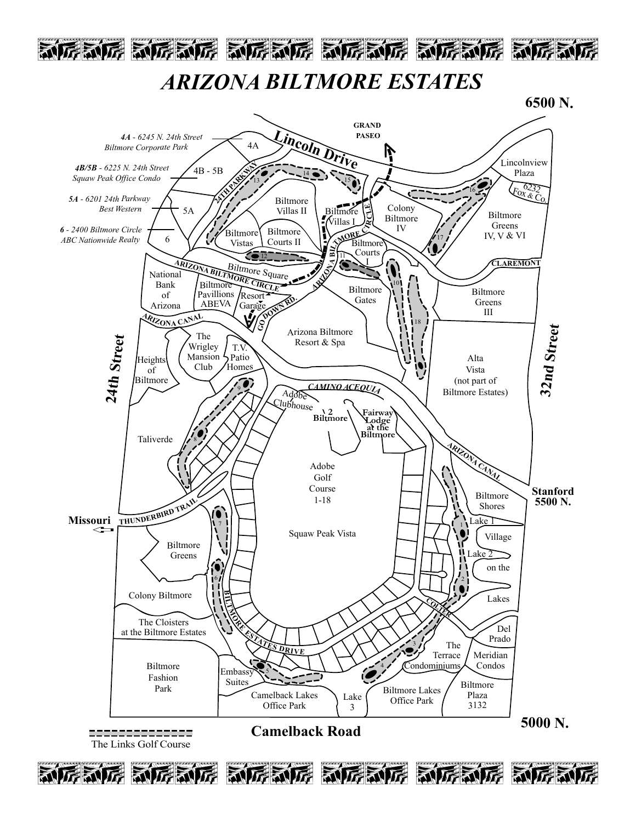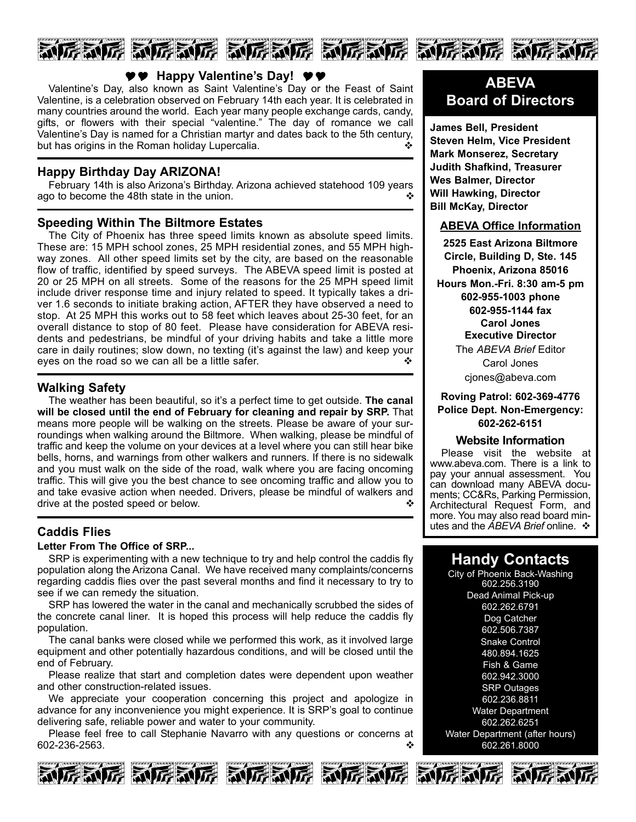

#### **YY** Happy Valentine's Day!  $\triangledown \triangledown$

Valentine's Day, also known as Saint Valentine's Day or the Feast of Saint Valentine, is a celebration observed on February 14th each year. It is celebrated in many countries around the world. Each year many people exchange cards, candy, gifts, or flowers with their special "valentine." The day of romance we call Valentine's Day is named for a Christian martyr and dates back to the 5th century, but has origins in the Roman holiday Lupercalia.

#### **Happy Birthday Day ARIZONA!**

February 14th is also Arizona's Birthday. Arizona achieved statehood 109 years ago to become the 48th state in the union.  $\mathbf{\hat{v}}$ 

#### **Speeding Within The Biltmore Estates**

The City of Phoenix has three speed limits known as absolute speed limits. These are: 15 MPH school zones, 25 MPH residential zones, and 55 MPH highway zones. All other speed limits set by the city, are based on the reasonable flow of traffic, identified by speed surveys. The ABEVA speed limit is posted at 20 or 25 MPH on all streets. Some of the reasons for the 25 MPH speed limit include driver response time and injury related to speed. It typically takes a driver 1.6 seconds to initiate braking action, AFTER they have observed a need to stop. At 25 MPH this works out to 58 feet which leaves about 25-30 feet, for an overall distance to stop of 80 feet. Please have consideration for ABEVA residents and pedestrians, be mindful of your driving habits and take a little more care in daily routines; slow down, no texting (it's against the law) and keep your eves on the road so we can all be a little safer.  $\cdot$  v

#### **Walking Safety**

The weather has been beautiful, so it's a perfect time to get outside. **The canal will be closed until the end of February for cleaning and repair by SRP.** That means more people will be walking on the streets. Please be aware of your surroundings when walking around the Biltmore. When walking, please be mindful of traffic and keep the volume on your devices at a level where you can still hear bike bells, horns, and warnings from other walkers and runners. If there is no sidewalk and you must walk on the side of the road, walk where you are facing oncoming traffic. This will give you the best chance to see oncoming traffic and allow you to and take evasive action when needed. Drivers, please be mindful of walkers and drive at the posted speed or below.  $\mathbf{\hat{v}}$ 

## **Caddis Flies**

#### **Letter From The Office of SRP...**

SRP is experimenting with a new technique to try and help control the caddis fly population along the Arizona Canal. We have received many complaints/concerns regarding caddis flies over the past several months and find it necessary to try to see if we can remedy the situation.

SRP has lowered the water in the canal and mechanically scrubbed the sides of the concrete canal liner. It is hoped this process will help reduce the caddis fly population.

The canal banks were closed while we performed this work, as it involved large equipment and other potentially hazardous conditions, and will be closed until the end of February.

Please realize that start and completion dates were dependent upon weather and other construction-related issues.

We appreciate your cooperation concerning this project and apologize in advance for any inconvenience you might experience. It is SRP's goal to continue delivering safe, reliable power and water to your community.

Please feel free to call Stephanie Navarro with any questions or concerns at 602-236-2563. v









**James Bell, President Steven Helm, Vice President Mark Monserez, Secretary Judith Shafkind, Treasurer Wes Balmer, Director Will Hawking, Director Bill McKay, Director**

#### **ABEVA Office Information**

**2525 East Arizona Biltmore Circle, Building D, Ste. 145 Phoenix, Arizona 85016 Hours Mon.-Fri. 8:30 am-5 pm 602-955-1003 phone 602-955-1144 fax Carol Jones Executive Director** The *ABEVA Brief* Editor Carol Jones cjones@abeva.com

**Roving Patrol: 602-369-4776 Police Dept. Non-Emergency: 602-262-6151**

#### **Website Information**

Please visit the website at www.abeva.com. There is a link to pay your annual assessment. You<br>can download many ABEVA documents; CC&Rs, Parking Permission, Architectural Request Form, and more. You may also read board minutes and the *ABEVA Brief* online. ❖

# **Handy Contacts**

City of Phoenix Back-Washing 602.256.3190 Dead Animal Pick-up 602.262.6791 Dog Catcher 602.506.7387 Snake Control 480.894.1625 Fish & Game 602.942.3000 SRP Outages 602.236.8811 Water Department 602.262.6251 Water Department (after hours) 602.261.8000